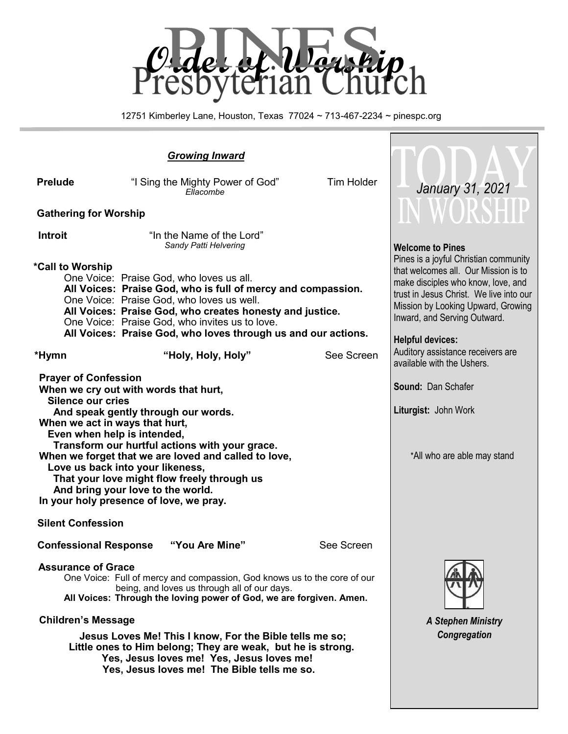

12751 Kimberley Lane, Houston, Texas 77024 ~ 713-467-2234 ~ pinespc.org

Г

| <b>Prelude</b>                                                                                                                                                                                                                                                                                                                                                                                                                                                                        | "I Sing the Mighty Power of God"<br>Ellacombe                                                                                                                                                                                                                                                                                                                                                                         | <b>Tim Holder</b>                                                                                                                                                                                                                                               | January 31, 2021                                                                           |
|---------------------------------------------------------------------------------------------------------------------------------------------------------------------------------------------------------------------------------------------------------------------------------------------------------------------------------------------------------------------------------------------------------------------------------------------------------------------------------------|-----------------------------------------------------------------------------------------------------------------------------------------------------------------------------------------------------------------------------------------------------------------------------------------------------------------------------------------------------------------------------------------------------------------------|-----------------------------------------------------------------------------------------------------------------------------------------------------------------------------------------------------------------------------------------------------------------|--------------------------------------------------------------------------------------------|
| <b>Gathering for Worship</b>                                                                                                                                                                                                                                                                                                                                                                                                                                                          |                                                                                                                                                                                                                                                                                                                                                                                                                       | IN WORSHT                                                                                                                                                                                                                                                       |                                                                                            |
| <b>Introit</b><br>*Call to Worship                                                                                                                                                                                                                                                                                                                                                                                                                                                    | "In the Name of the Lord"<br>Sandy Patti Helvering<br>One Voice: Praise God, who loves us all.<br>All Voices: Praise God, who is full of mercy and compassion.<br>One Voice: Praise God, who loves us well.<br>All Voices: Praise God, who creates honesty and justice.<br>One Voice: Praise God, who invites us to love.<br>All Voices: Praise God, who loves through us and our actions.                            | <b>Welcome to Pines</b><br>Pines is a joyful Christian community<br>that welcomes all. Our Mission is to<br>make disciples who know, love, and<br>trust in Jesus Christ. We live into our<br>Mission by Looking Upward, Growing<br>Inward, and Serving Outward. |                                                                                            |
| *Hymn                                                                                                                                                                                                                                                                                                                                                                                                                                                                                 | "Holy, Holy, Holy"                                                                                                                                                                                                                                                                                                                                                                                                    | See Screen                                                                                                                                                                                                                                                      | <b>Helpful devices:</b><br>Auditory assistance receivers are<br>available with the Ushers. |
| <b>Prayer of Confession</b><br>When we cry out with words that hurt,<br><b>Silence our cries</b><br>And speak gently through our words.<br>When we act in ways that hurt,<br>Even when help is intended,<br>Transform our hurtful actions with your grace.<br>When we forget that we are loved and called to love,<br>Love us back into your likeness,<br>That your love might flow freely through us<br>And bring your love to the world.<br>In your holy presence of love, we pray. | <b>Sound: Dan Schafer</b><br>Liturgist: John Work<br>*All who are able may stand                                                                                                                                                                                                                                                                                                                                      |                                                                                                                                                                                                                                                                 |                                                                                            |
| <b>Silent Confession</b>                                                                                                                                                                                                                                                                                                                                                                                                                                                              |                                                                                                                                                                                                                                                                                                                                                                                                                       |                                                                                                                                                                                                                                                                 |                                                                                            |
| <b>Confessional Response</b>                                                                                                                                                                                                                                                                                                                                                                                                                                                          | "You Are Mine"                                                                                                                                                                                                                                                                                                                                                                                                        | See Screen                                                                                                                                                                                                                                                      |                                                                                            |
| <b>Assurance of Grace</b><br><b>Children's Message</b>                                                                                                                                                                                                                                                                                                                                                                                                                                | One Voice: Full of mercy and compassion, God knows us to the core of our<br>being, and loves us through all of our days.<br>All Voices: Through the loving power of God, we are forgiven. Amen.<br>Jesus Loves Me! This I know, For the Bible tells me so;<br>Little ones to Him belong; They are weak, but he is strong.<br>Yes, Jesus loves me! Yes, Jesus loves me!<br>Yes, Jesus loves me! The Bible tells me so. | <b>A Stephen Ministry</b><br>Congregation                                                                                                                                                                                                                       |                                                                                            |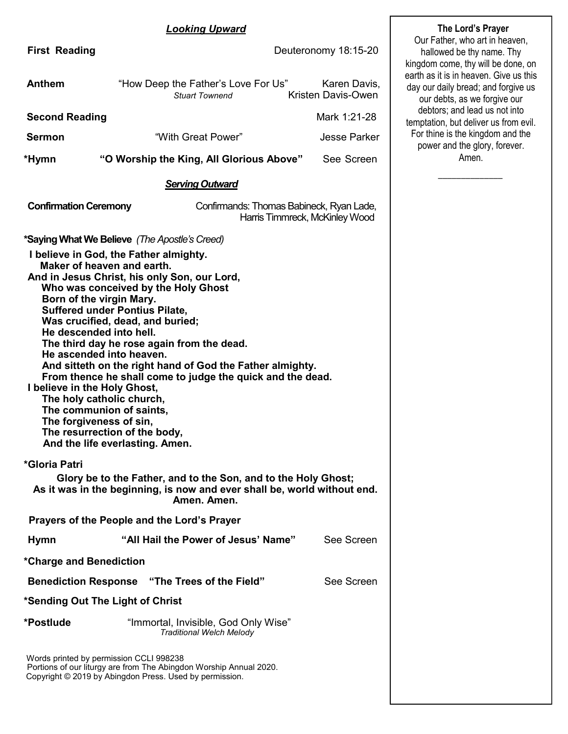### *Looking Upward*

| <b>First Reading</b>                                                                                                                                                                                                                               |                                                                                                                                                                                                                                                                                                                                                                                                                                                                                                          | Our Father, who art in heaven,<br>Deuteronomy 18:15-20<br>hallowed be thy name. Thy<br>kingdom come, thy will be done, on |                                                                                                               |  |  |
|----------------------------------------------------------------------------------------------------------------------------------------------------------------------------------------------------------------------------------------------------|----------------------------------------------------------------------------------------------------------------------------------------------------------------------------------------------------------------------------------------------------------------------------------------------------------------------------------------------------------------------------------------------------------------------------------------------------------------------------------------------------------|---------------------------------------------------------------------------------------------------------------------------|---------------------------------------------------------------------------------------------------------------|--|--|
| <b>Anthem</b>                                                                                                                                                                                                                                      | "How Deep the Father's Love For Us"<br><b>Stuart Townend</b>                                                                                                                                                                                                                                                                                                                                                                                                                                             | Karen Davis,<br>Kristen Davis-Owen                                                                                        | earth as it is in heaven. Give us this<br>day our daily bread; and forgive us<br>our debts, as we forgive our |  |  |
| <b>Second Reading</b>                                                                                                                                                                                                                              |                                                                                                                                                                                                                                                                                                                                                                                                                                                                                                          | Mark 1:21-28                                                                                                              | debtors; and lead us not into<br>temptation, but deliver us from evil.                                        |  |  |
| <b>Sermon</b>                                                                                                                                                                                                                                      | "With Great Power"                                                                                                                                                                                                                                                                                                                                                                                                                                                                                       | <b>Jesse Parker</b>                                                                                                       | For thine is the kingdom and the<br>power and the glory, forever.                                             |  |  |
| *Hymn                                                                                                                                                                                                                                              | "O Worship the King, All Glorious Above"                                                                                                                                                                                                                                                                                                                                                                                                                                                                 | See Screen                                                                                                                | Amen.                                                                                                         |  |  |
|                                                                                                                                                                                                                                                    | <b>Serving Outward</b>                                                                                                                                                                                                                                                                                                                                                                                                                                                                                   |                                                                                                                           |                                                                                                               |  |  |
| <b>Confirmation Ceremony</b>                                                                                                                                                                                                                       | Confirmands: Thomas Babineck, Ryan Lade,                                                                                                                                                                                                                                                                                                                                                                                                                                                                 | Harris Timmreck, McKinley Wood                                                                                            |                                                                                                               |  |  |
| Maker of heaven and earth.<br>Born of the virgin Mary.<br>He descended into hell.<br>He ascended into heaven.<br>I believe in the Holy Ghost,<br>The holy catholic church,<br>The communion of saints,<br>The forgiveness of sin,<br>*Gloria Patri | *Saying What We Believe (The Apostle's Creed)<br>I believe in God, the Father almighty.<br>And in Jesus Christ, his only Son, our Lord,<br>Who was conceived by the Holy Ghost<br><b>Suffered under Pontius Pilate,</b><br>Was crucified, dead, and buried;<br>The third day he rose again from the dead.<br>And sitteth on the right hand of God the Father almighty.<br>From thence he shall come to judge the quick and the dead.<br>The resurrection of the body,<br>And the life everlasting. Amen. |                                                                                                                           |                                                                                                               |  |  |
|                                                                                                                                                                                                                                                    | Glory be to the Father, and to the Son, and to the Holy Ghost;<br>As it was in the beginning, is now and ever shall be, world without end.<br>Amen. Amen.                                                                                                                                                                                                                                                                                                                                                |                                                                                                                           |                                                                                                               |  |  |
|                                                                                                                                                                                                                                                    | Prayers of the People and the Lord's Prayer                                                                                                                                                                                                                                                                                                                                                                                                                                                              |                                                                                                                           |                                                                                                               |  |  |
| <b>Hymn</b>                                                                                                                                                                                                                                        | "All Hail the Power of Jesus' Name"                                                                                                                                                                                                                                                                                                                                                                                                                                                                      | See Screen                                                                                                                |                                                                                                               |  |  |
| *Charge and Benediction                                                                                                                                                                                                                            |                                                                                                                                                                                                                                                                                                                                                                                                                                                                                                          |                                                                                                                           |                                                                                                               |  |  |
|                                                                                                                                                                                                                                                    | <b>Benediction Response</b> "The Trees of the Field"                                                                                                                                                                                                                                                                                                                                                                                                                                                     | See Screen                                                                                                                |                                                                                                               |  |  |
| *Sending Out The Light of Christ                                                                                                                                                                                                                   |                                                                                                                                                                                                                                                                                                                                                                                                                                                                                                          |                                                                                                                           |                                                                                                               |  |  |
| *Postlude                                                                                                                                                                                                                                          | "Immortal, Invisible, God Only Wise"<br>Traditional Welch Melody                                                                                                                                                                                                                                                                                                                                                                                                                                         |                                                                                                                           |                                                                                                               |  |  |
| Words printed by permission CCLI 998238                                                                                                                                                                                                            | Portions of our liturgy are from The Abingdon Worship Annual 2020.<br>Copyright © 2019 by Abingdon Press. Used by permission.                                                                                                                                                                                                                                                                                                                                                                            |                                                                                                                           |                                                                                                               |  |  |

**The Lord's Prayer**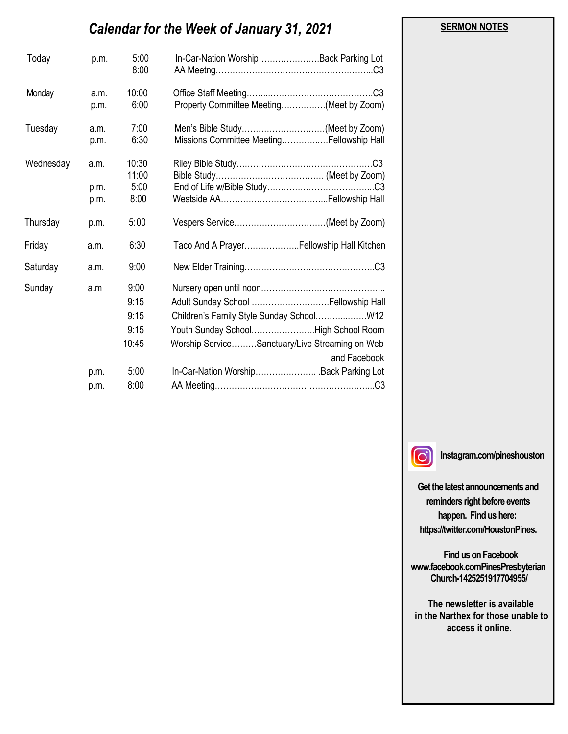# *Calendar for the Week of January 31, 2021*

| Today     | p.m.         | 5:00<br>8:00  | In-Car-Nation WorshipBack Parking Lot                                        |
|-----------|--------------|---------------|------------------------------------------------------------------------------|
| Monday    | a.m.<br>p.m. | 10:00<br>6:00 | Property Committee Meeting(Meet by Zoom)                                     |
| Tuesday   | a.m.<br>p.m. | 7:00<br>6:30  | Men's Bible Study(Meet by Zoom)<br>Missions Committee MeetingFellowship Hall |
| Wednesday | a.m.         | 10:30         |                                                                              |
|           |              | 11:00<br>5:00 |                                                                              |
|           | p.m.<br>p.m. | 8:00          |                                                                              |
| Thursday  | p.m.         | 5:00          |                                                                              |
| Friday    | a.m.         | 6:30          | Taco And A PrayerFellowship Hall Kitchen                                     |
| Saturday  | a.m.         | 9:00          |                                                                              |
| Sunday    | a.m          | 9:00          |                                                                              |
|           |              | 9:15          |                                                                              |
|           |              | 9:15          | Children's Family Style Sunday SchoolW12                                     |
|           |              | 9:15          | Youth Sunday SchoolHigh School Room                                          |
|           |              | 10:45         | Worship ServiceSanctuary/Live Streaming on Web<br>and Facebook               |
|           | p.m.         | 5:00          | In-Car-Nation WorshipBack Parking Lot                                        |
|           | p.m.         | 8:00          |                                                                              |

 $\lceil$ O

**Instagram.com/pineshouston**

**Get the latest announcements and reminders right before events happen. Find us here: https://twitter.com/HoustonPines.** 

 **Find us on Facebook www.facebook.comPinesPresbyterian Church-1425251917704955/**

 **The newsletter is available in the Narthex for those unable to access it online.**

#### **SERMON NOTES**